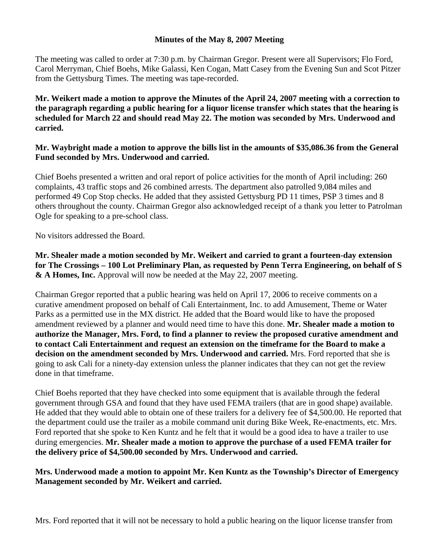## **Minutes of the May 8, 2007 Meeting**

The meeting was called to order at 7:30 p.m. by Chairman Gregor. Present were all Supervisors; Flo Ford, Carol Merryman, Chief Boehs, Mike Galassi, Ken Cogan, Matt Casey from the Evening Sun and Scot Pitzer from the Gettysburg Times. The meeting was tape-recorded.

**Mr. Weikert made a motion to approve the Minutes of the April 24, 2007 meeting with a correction to the paragraph regarding a public hearing for a liquor license transfer which states that the hearing is scheduled for March 22 and should read May 22. The motion was seconded by Mrs. Underwood and carried.** 

## **Mr. Waybright made a motion to approve the bills list in the amounts of \$35,086.36 from the General Fund seconded by Mrs. Underwood and carried.**

Chief Boehs presented a written and oral report of police activities for the month of April including: 260 complaints, 43 traffic stops and 26 combined arrests. The department also patrolled 9,084 miles and performed 49 Cop Stop checks. He added that they assisted Gettysburg PD 11 times, PSP 3 times and 8 others throughout the county. Chairman Gregor also acknowledged receipt of a thank you letter to Patrolman Ogle for speaking to a pre-school class.

No visitors addressed the Board.

**Mr. Shealer made a motion seconded by Mr. Weikert and carried to grant a fourteen-day extension for The Crossings – 100 Lot Preliminary Plan, as requested by Penn Terra Engineering, on behalf of S & A Homes, Inc.** Approval will now be needed at the May 22, 2007 meeting.

Chairman Gregor reported that a public hearing was held on April 17, 2006 to receive comments on a curative amendment proposed on behalf of Cali Entertainment, Inc. to add Amusement, Theme or Water Parks as a permitted use in the MX district. He added that the Board would like to have the proposed amendment reviewed by a planner and would need time to have this done. **Mr. Shealer made a motion to authorize the Manager, Mrs. Ford, to find a planner to review the proposed curative amendment and to contact Cali Entertainment and request an extension on the timeframe for the Board to make a decision on the amendment seconded by Mrs. Underwood and carried.** Mrs. Ford reported that she is going to ask Cali for a ninety-day extension unless the planner indicates that they can not get the review done in that timeframe.

Chief Boehs reported that they have checked into some equipment that is available through the federal government through GSA and found that they have used FEMA trailers (that are in good shape) available. He added that they would able to obtain one of these trailers for a delivery fee of \$4,500.00. He reported that the department could use the trailer as a mobile command unit during Bike Week, Re-enactments, etc. Mrs. Ford reported that she spoke to Ken Kuntz and he felt that it would be a good idea to have a trailer to use during emergencies. **Mr. Shealer made a motion to approve the purchase of a used FEMA trailer for the delivery price of \$4,500.00 seconded by Mrs. Underwood and carried.** 

## **Mrs. Underwood made a motion to appoint Mr. Ken Kuntz as the Township's Director of Emergency Management seconded by Mr. Weikert and carried.**

Mrs. Ford reported that it will not be necessary to hold a public hearing on the liquor license transfer from